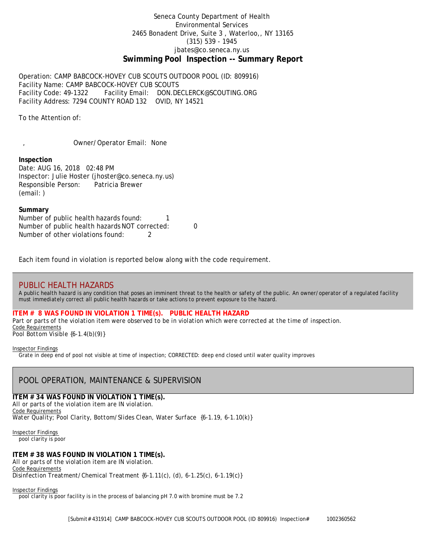# Seneca County Department of Health Environmental Services 2465 Bonadent Drive, Suite 3 , Waterloo,, NY 13165 (315) 539 - 1945 [jbates@co.seneca.ny.us](mailto:jbates@co.seneca.ny.us) **Swimming Pool Inspection -- Summary Report**

Operation: CAMP BABCOCK-HOVEY CUB SCOUTS OUTDOOR POOL (ID: 809916) Facility Name: CAMP BABCOCK-HOVEY CUB SCOUTS Facility Code: 49-1322 Facility Email: [DON.DECLERCK@SCOUTING.ORG](mailto:DON.DECLERCK@SCOUTING.ORG) Facility Address: 7294 COUNTY ROAD 132 OVID, NY 14521

To the Attention of:

, Owner/Operator Email: None

## **Inspection**

Date: AUG 16, 2018 02:48 PM Inspector: Julie Hoster (jhoster@co.seneca.ny.us) Responsible Person: Patricia Brewer (email: )

### **Summary**

Number of public health hazards found: 1 Number of public health hazards NOT corrected: 0 Number of other violations found: 2

Each item found in violation is reported below along with the code requirement.

# PUBLIC HEALTH HAZARDS

*A public health hazard is any condition that poses an imminent threat to the health or safety of the public. An owner/operator of a regulated facility must immediately correct all public health hazards or take actions to prevent exposure to the hazard.*

## **ITEM # 8 WAS FOUND IN VIOLATION 1 TIME(s). PUBLIC HEALTH HAZARD**

*Part or parts of the violation item were observed to be in violation which were corrected at the time of inspection.* Code Requirements *Pool Bottom Visible {6-1.4(b)(9)}*

#### Inspector Findings

Grate in deep end of pool not visible at time of inspection; CORRECTED: deep end closed until water quality improves

# POOL OPERATION, MAINTENANCE & SUPERVISION

# **ITEM # 34 WAS FOUND IN VIOLATION 1 TIME(s).**

*All or parts of the violation item are IN violation.* Code Requirements *Water Quality; Pool Clarity, Bottom/Slides Clean, Water Surface {6-1.19, 6-1.10(k)}*

Inspector Findings pool clarity is poor

# **ITEM # 38 WAS FOUND IN VIOLATION 1 TIME(s).**

*All or parts of the violation item are IN violation.* Code Requirements *Disinfection Treatment/Chemical Treatment {6-1.11(c), (d), 6-1.25(c), 6-1.19(c)}*

#### Inspector Findings

pool clarity is poor facility is in the process of balancing pH 7.0 with bromine must be 7.2